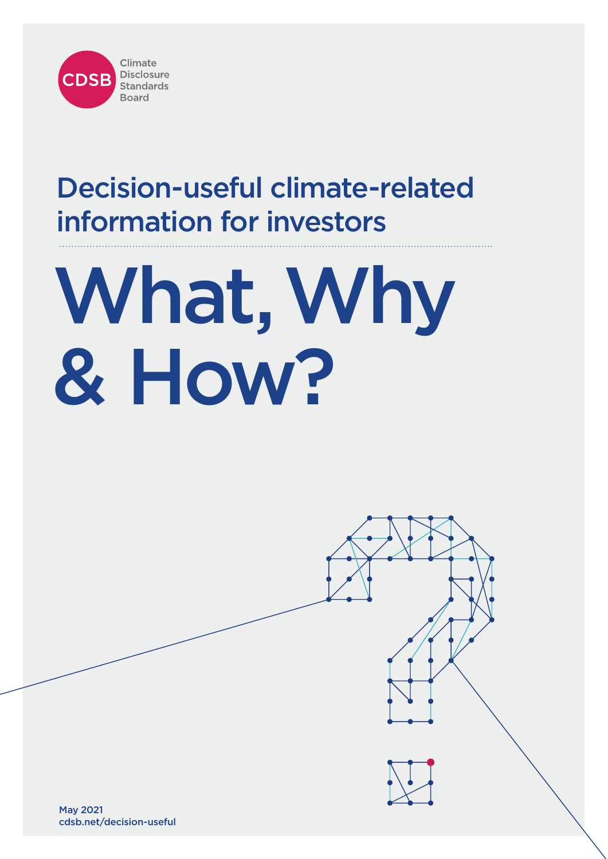

# Decision-useful climate-related information for investors

# What, Why & How?

May 2021 cdsb.net/decision-useful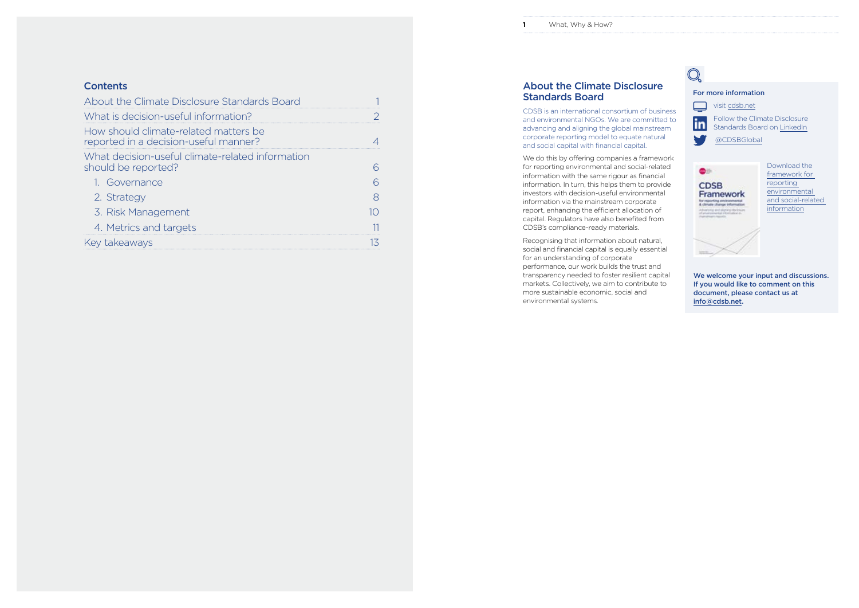# For more information

 $\qquad \qquad \Box$ visit [cdsb.net](https://www.cdsb.net) **Follow the Climate Disclosure** Standards Board on [LinkedIn](https://www.linkedin.com/company/cdsb)

[@CDSBGlobal](https://twitter.com/CDSBGlobal)



# About the Climate Disclosure Standards Board

CDSB is an international consortium of business and environmental NGOs. We are committed to advancing and aligning the global mainstream corporate reporting model to equate natural and social capital with financial capital.

We do this by offering companies a [framework](https://dev-cdsb.pantheonsite.io/sites/default/files/cdsb_framework_2019_v2.2.pdf)  [for reporting environmental and social-related](https://dev-cdsb.pantheonsite.io/sites/default/files/cdsb_framework_2019_v2.2.pdf)  [information](https://dev-cdsb.pantheonsite.io/sites/default/files/cdsb_framework_2019_v2.2.pdf) with the same rigour as financial information. In turn, this helps them to provide investors with decision-useful environmental information via the mainstream corporate report, enhancing the efficient allocation of capital. Regulators have also benefited from CDSB's compliance-ready materials.

| About the Climate Disclosure Standards Board                                   |  |
|--------------------------------------------------------------------------------|--|
| What is decision-useful information?                                           |  |
| How should climate-related matters be<br>reported in a decision-useful manner? |  |
| What decision-useful climate-related information<br>should be reported?        |  |
| 1. Governance                                                                  |  |
| 2. Strategy                                                                    |  |
| 3. Risk Management                                                             |  |
| 4. Metrics and targets                                                         |  |
| Key takeaways                                                                  |  |

Recognising that information about natural, social and financial capital is equally essential for an understanding of corporate performance, our work builds the trust and transparency needed to foster resilient capital markets. Collectively, we aim to contribute to more sustainable economic, social and environmental systems.



W

Download the [framework for](https://dev-cdsb.pantheonsite.io/sites/default/files/cdsb_framework_2019_v2.2.pdf)  [reporting](https://dev-cdsb.pantheonsite.io/sites/default/files/cdsb_framework_2019_v2.2.pdf)  [environmental](https://dev-cdsb.pantheonsite.io/sites/default/files/cdsb_framework_2019_v2.2.pdf)  [and social-related](https://dev-cdsb.pantheonsite.io/sites/default/files/cdsb_framework_2019_v2.2.pdf)  [information](https://dev-cdsb.pantheonsite.io/sites/default/files/cdsb_framework_2019_v2.2.pdf)

We welcome your input and discussions. If you would like to comment on this document, please contact us at [info@cdsb.net](file:///Users/timlacey/Desktop/CDSB/_Reference/info@cdsb.net) .

# **Contents**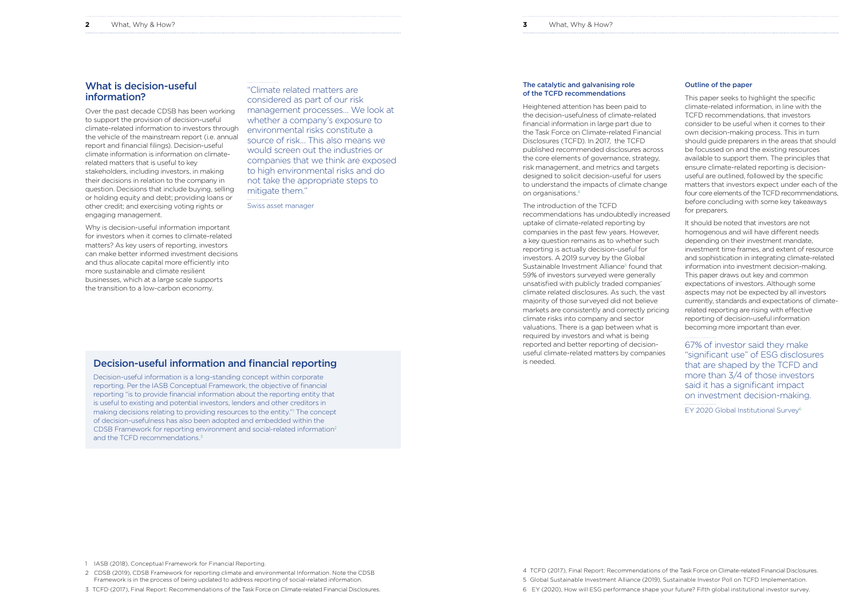### Outline of the paper

This paper seeks to highlight the specific climate-related information, in line with the TCFD recommendations, that investors consider to be useful when it comes to their own decision-making process. This in turn should guide preparers in the areas that should be focussed on and the existing resources available to support them. The principles that ensure climate-related reporting is decisionuseful are outlined, followed by the specific matters that investors expect under each of the four core elements of the TCFD recommendations, before concluding with some key takeaways for preparers.

It should be noted that investors are not homogenous and will have different needs depending on their investment mandate, investment time frames, and extent of resource and sophistication in integrating climate-related information into investment decision-making. This paper draws out key and common expectations of investors. Although some aspects may not be expected by all investors currently, standards and expectations of climaterelated reporting are rising with effective reporting of decision-useful information becoming more important than ever.

67% of investor said they make "significant use" of ESG disclosures that are shaped by the TCFD and more than 3/4 of those investors said it has a significant impact on investment decision-making. EY 2020 Global Institutional Survey6

### The catalytic and galvanising role of the TCFD recommendations

Heightened attention has been paid to the decision-usefulness of climate-related financial information in large part due to the Task Force on Climate-related Financial Disclosures (TCFD). In 2017, the TCFD published recommended disclosures across the core elements of governance, strategy, risk management, and metrics and targets designed to solicit decision-useful for users to understand the impacts of climate change on organisations.4

### The introduction of the TCFD

Decision-useful information is a long-standing concept within corporate reporting. Per the IASB Conceptual Framework, the objective of financial reporting "is to provide financial information about the reporting entity that is useful to existing and potential investors, lenders and other creditors in making decisions relating to providing resources to the entity." The concept of decision-usefulness has also been adopted and embedded within the CDSB Framework for reporting environment and social-related information2 and the TCFD recommendations.<sup>3</sup>

recommendations has undoubtedly increased uptake of climate-related reporting by companies in the past few years. However, a key question remains as to whether such reporting is actually decision-useful for investors. A 2019 survey by the Global Sustainable Investment Alliance<sup>5</sup> found that 59% of investors surveyed were generally unsatisfied with publicly traded companies' climate related disclosures. As such, the vast majority of those surveyed did not believe markets are consistently and correctly pricing climate risks into company and sector valuations. There is a gap between what is required by investors and what is being reported and better reporting of decisionuseful climate-related matters by companies is needed.

"Climate related matters are considered as part of our risk management processes… We look at whether a company's exposure to environmental risks constitute a source of risk… This also means we would screen out the industries or companies that we think are exposed to high environmental risks and do not take the appropriate steps to mitigate them." Swiss asset manager

# What is decision-useful information?

Over the past decade CDSB has been working to support the provision of decision-useful climate-related information to investors through the vehicle of the mainstream report (i.e. annual report and financial filings). Decision-useful climate information is information on climaterelated matters that is useful to key stakeholders, including investors, in making their decisions in relation to the company in question. Decisions that include buying, selling or holding equity and debt; providing loans or other credit; and exercising voting rights or engaging management.

Why is decision-useful information important for investors when it comes to climate-related matters? As key users of reporting, investors can make better informed investment decisions and thus allocate capital more efficiently into more sustainable and climate resilient businesses, which at a large scale supports the transition to a low-carbon economy.

# Decision-useful information and financial reporting

1 IASB (2018), Conceptual Framework for Financial Reporting.

2 CDSB (2019), CDSB Framework for reporting climate and environmental Information. Note the CDSB Framework is in the process of being updated to address reporting of social-related information.

3 TCFD (2017), Final Report: Recommendations of the Task Force on Climate-related Financial Disclosures.

4 TCFD (2017), Final Report: Recommendations of the Task Force on Climate-related Financial Disclosures. 5 Global Sustainable Investment Alliance (2019), Sustainable Investor Poll on TCFD Implementation. 6 EY (2020), How will ESG performance shape your future? Fifth global institutional investor survey.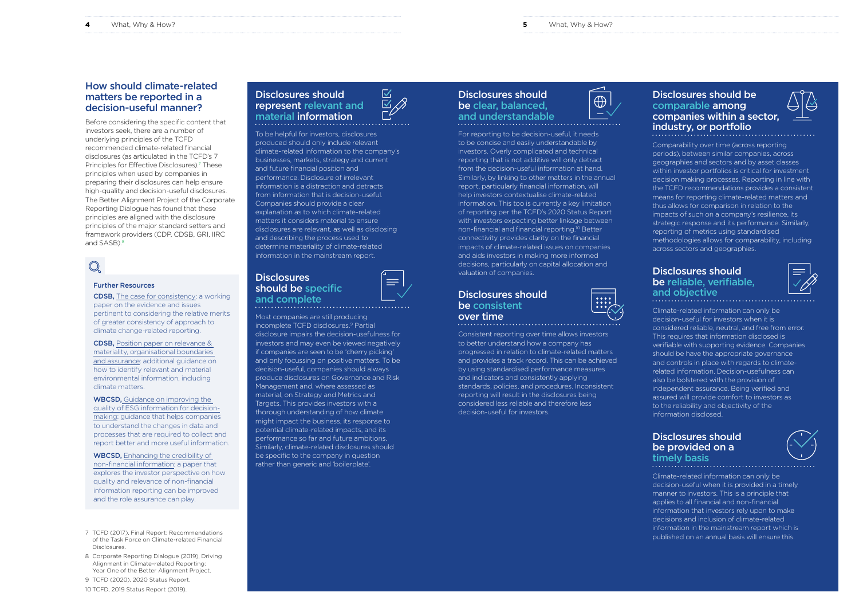# Disclosures should be comparable among companies within a sector, industry, or portfolio

Comparability over time (across reporting periods), between similar companies, across geographies and sectors and by asset classes within investor portfolios is critical for investment decision making processes. Reporting in line with the TCFD recommendations provides a consistent means for reporting climate-related matters and thus allows for comparison in relation to the impacts of such on a company's resilience, its strategic response and its performance. Similarly, reporting of metrics using standardised methodologies allows for comparability, including across sectors and geographies.

# Disclosures should be reliable, verifiable, and objective

Climate-related information can only be decision-useful for investors when it is considered reliable, neutral, and free from error. This requires that information disclosed is verifiable with supporting evidence. Companies should be have the appropriate governance and controls in place with regards to climaterelated information. Decision-usefulness can also be bolstered with the provision of independent assurance. Being verified and assured will provide comfort to investors as to the reliability and objectivity of the information disclosed.

# Disclosures should be provided on a timely basis

Climate-related information can only be decision-useful when it is provided in a timely manner to investors. This is a principle that applies to all financial and non-financial information that investors rely upon to make decisions and inclusion of climate-related information in the mainstream report which is published on an annual basis will ensure this.







# Disclosures should be clear, balanced, and understandable



For reporting to be decision-useful, it needs to be concise and easily understandable by investors. Overly complicated and technical reporting that is not additive will only detract from the decision-useful information at hand. Similarly, by linking to other matters in the annual report, particularly financial information, will help investors contextualise climate-related information. This too is currently a key limitation of reporting per the TCFD's 2020 Status Report with investors expecting better linkage between non-financial and financial reporting.10 Better connectivity provides clarity on the financial impacts of climate-related issues on companies and aids investors in making more informed decisions, particularly on capital allocation and valuation of companies.

Before considering the specific content that investors seek, there are a number of underlying principles of the TCFD recommended climate-related financial disclosures (as articulated in the TCFD's 7 Principles for Effective Disclosures).<sup>7</sup> These principles when used by companies in preparing their disclosures can help ensure high-quality and decision-useful disclosures. The Better Alignment Project of the Corporate Reporting Dialogue has found that these principles are aligned with the disclosure principles of the major standard setters and framework providers (CDP, CDSB, GRI, IIRC and SASB).<sup>8</sup>

# Disclosures should be consistent over time



Consistent reporting over time allows investors to better understand how a company has progressed in relation to climate-related matters and provides a track record. This can be achieved by using standardised performance measures and indicators and consistently applying standards, policies, and procedures. Inconsistent reporting will result in the disclosures being considered less reliable and therefore less decision-useful for investors.

WBCSD, Enhancing the credibility of [non-financial information](https://docs.wbcsd.org/2018/10/WBCSD_Enhancing_Credibility_Report.pdf): a paper that explores the investor perspective on how quality and relevance of non-financial information reporting can be improved and the role assurance can play.

# Disclosures should represent relevant and material information

To be helpful for investors, disclosures produced should only include relevant climate-related information to the company's businesses, markets, strategy and current and future financial position and performance. Disclosure of irrelevant information is a distraction and detracts from information that is decision-useful. Companies should provide a clear explanation as to which climate-related matters it considers material to ensure disclosures are relevant, as well as disclosing and describing the process used to determine materiality of climate-related information in the mainstream report.

# **Disclosures** should be specific and complete  $\begin{array}{c} \square \sim \\ \square \sim \square \end{array}$

Most companies are still producing incomplete TCFD disclosures.9 Partial disclosure impairs the decision-usefulness for investors and may even be viewed negatively if companies are seen to be 'cherry picking' and only focussing on positive matters. To be decision-useful, companies should always produce disclosures on Governance and Risk Management and, where assessed as material, on Strategy and Metrics and Targets. This provides investors with a thorough understanding of how climate might impact the business, its response to potential climate-related impacts, and its performance so far and future ambitions. Similarly, climate-related disclosures should be specific to the company in question rather than generic and 'boilerplate'.



# How should climate-related matters be reported in a decision-useful manner?

### Further Resources

CDSB, [The case for consistency](https://www.cdsb.net/sites/cdsbnet/files/the-case-for-consistency-in-climate-change-related-reporting.pdf): a working paper on the evidence and issues pertinent to considering the relative merits of greater consistency of approach to climate change-related reporting.

CDSB, [Position paper on relevance &](https://www.cdsb.net/sites/default/files/materiality_and_tcfd_paper.pdf)  [materiality, organisational boundaries](https://www.cdsb.net/sites/default/files/materiality_and_tcfd_paper.pdf)  [and assurance:](https://www.cdsb.net/sites/default/files/materiality_and_tcfd_paper.pdf) additional guidance on how to identify relevant and material environmental information, including climate matters.

WBCSD, [Guidance on improving the](https://docs.wbcsd.org/2019/06/WBCSD-Internal-Control-Guidance.pdf)  [quality of ESG information for decision](https://docs.wbcsd.org/2019/06/WBCSD-Internal-Control-Guidance.pdf)[making](https://docs.wbcsd.org/2019/06/WBCSD-Internal-Control-Guidance.pdf): guidance that helps companies to understand the changes in data and processes that are required to collect and report better and more useful information.

- 7 TCFD (2017), Final Report: Recommendations of the Task Force on Climate-related Financial Disclosures.
- 8 Corporate Reporting Dialogue (2019), Driving Alignment in Climate-related Reporting: Year One of the Better Alignment Project.
- 9 TCFD (2020), 2020 Status Report. 10 TCFD, 2019 Status Report (2019).

**4** What, Why & How? **5** What, Why & How?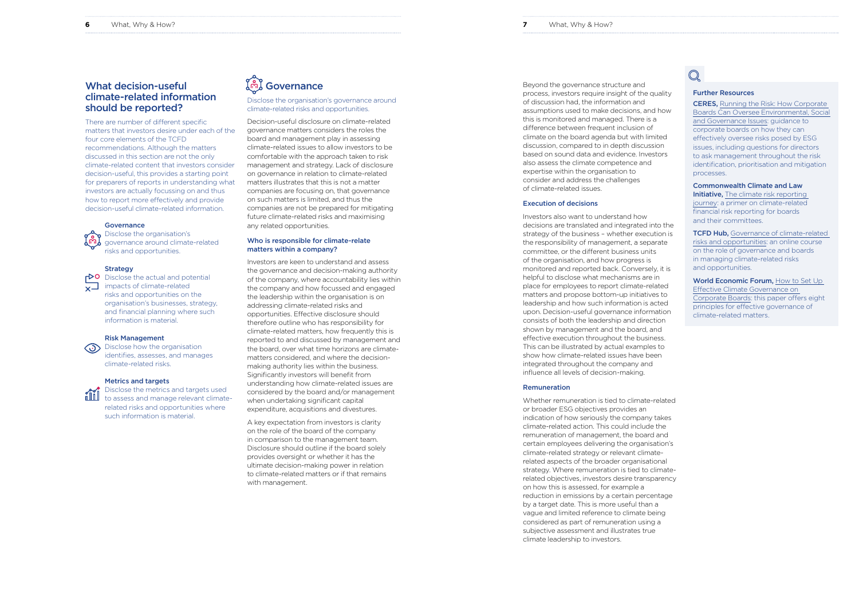# Further Resources

CERES, [Running the Risk: How Corporate](https://www.ceres.org/resources/reports/running-risk-how-corporate-boards-can-oversee-environmental-social-and-governance?utm_source=email&utm_medium=marketingcloud&utm_campaign=governance&utm_content=report)  [Boards Can Oversee Environmental, Social](https://www.ceres.org/resources/reports/running-risk-how-corporate-boards-can-oversee-environmental-social-and-governance?utm_source=email&utm_medium=marketingcloud&utm_campaign=governance&utm_content=report)  [and Governance Issues](https://www.ceres.org/resources/reports/running-risk-how-corporate-boards-can-oversee-environmental-social-and-governance?utm_source=email&utm_medium=marketingcloud&utm_campaign=governance&utm_content=report): guidance to corporate boards on how they can effectively oversee risks posed by ESG issues, including questions for directors to ask management throughout the risk identification, prioritisation and mitigation processes.

**TCFD Hub, Governance of climate-related** [risks and opportunities](https://www.tcfdhub.org/online-courses/): an online course on the role of governance and boards in managing climate-related risks and opportunities.

Commonwealth Climate and Law **Initiative.** The climate risk reporting [journey:](https://www.cdsb.net/sites/default/files/climateguidancedoublepage.pdf) a primer on climate-related financial risk reporting for boards and their committees.

World Economic Forum, How to Set Up [Effective Climate Governance on](http://www3.weforum.org/docs/WEF_Creating_effective_climate_governance_on_corporate_boards.pdf)  [Corporate Boards](http://www3.weforum.org/docs/WEF_Creating_effective_climate_governance_on_corporate_boards.pdf): this paper offers eight principles for effective governance of climate-related matters.

Beyond the governance structure and process, investors require insight of the quality of discussion had, the information and assumptions used to make decisions, and how this is monitored and managed. There is a difference between frequent inclusion of climate on the board agenda but with limited discussion, compared to in depth discussion based on sound data and evidence. Investors also assess the climate competence and expertise within the organisation to consider and address the challenges of climate -related issues.

### Execution of decisions

Investors also want to understand how decisions are translated and integrated into the strategy of the business – whether execution is the responsibility of management, a separate committee, or the different business units of the organisation, and how progress is monitored and reported back. Conversely, it is helpful to disclose what mechanisms are in place for employees to report climate-related matters and propose bottom-up initiatives to leadership and how such information is acted upon. Decision-useful governance information consists of both the leadership and direction shown by management and the board, and effective execution throughout the business. This can be illustrated by actual examples to show how climate-related issues have been integrated throughout the company and influence all levels of decision-making.

### Remuneration

Whether remuneration is tied to climate-related or broader ESG objectives provides an indication of how seriously the company takes climate-related action. This could include the remuneration of management, the board and certain employees delivering the organisation's climate-related strategy or relevant climaterelated aspects of the broader organisational strategy. Where remuneration is tied to climaterelated objectives, investors desire transparency on how this is assessed, for example a reduction in emissions by a certain percentage by a target date. This is more useful than a vague and limited reference to climate being considered as part of remuneration using a subjective assessment and illustrates true climate leadership to investors.

# $\mathbb{O}$

 $\overline{P}$ O Disclose the actual and potential  $\sqrt{ }$ impacts of climate-related risks and opportunities on the organisation's businesses, strategy, and financial planning where such information is material.

**(b)** Disclose how the organisation identifies, assesses, and manages climate-related risks.

### Disclose the organisation's governance around climate-related risks and opportunities.

Decision-useful disclosure on climate-related governance matters considers the roles the board and management play in assessing climate-related issues to allow investors to be comfortable with the approach taken to risk management and strategy. Lack of disclosure on governance in relation to climate-related matters illustrates that this is not a matter companies are focusing on, that governance on such matters is limited, and thus the companies are not be prepared for mitigating future climate-related risks and maximising any related opportunities.

## Who is responsible for climate-relate matters within a company?

Investors are keen to understand and assess the governance and decision-making authority of the company, where accountability lies within the company and how focussed and engaged the leadership within the organisation is on addressing climate-related risks and opportunities. Effective disclosure should therefore outline who has responsibility for climate-related matters, how frequently this is reported to and discussed by management and the board, over what time horizons are climatematters considered, and where the decisionmaking authority lies within the business. Significantly investors will benefit from understanding how climate-related issues are considered by the board and/or management when undertaking significant capital expenditure, acquisitions and divestures.

A key expectation from investors is clarity on the role of the board of the company in comparison to the management team. Disclosure should outline if the board solely provides oversight or whether it has the ultimate decision-making power in relation to climate-related matters or if that remains with management.

# What decision-useful climate-related information should be reported?

There are number of different specific matters that investors desire under each of the four core elements of the TCFD recommendations. Although the matters discussed in this section are not the only climate-related content that investors consider decision-useful, this provides a starting point for preparers of reports in understanding what investors are actually focussing on and thus how to report more effectively and provide decision-useful climate-related information.

### **Governance**

 Disclose the organisation's governance around climate-related risks and opportunities.

### **Strategy**

### Risk Management

### Metrics and targets

Disclose the metrics and targets used **FILL** to assess and manage relevant climaterelated risks and opportunities where such information is material.

# **Governance**

**6** What, Why & How?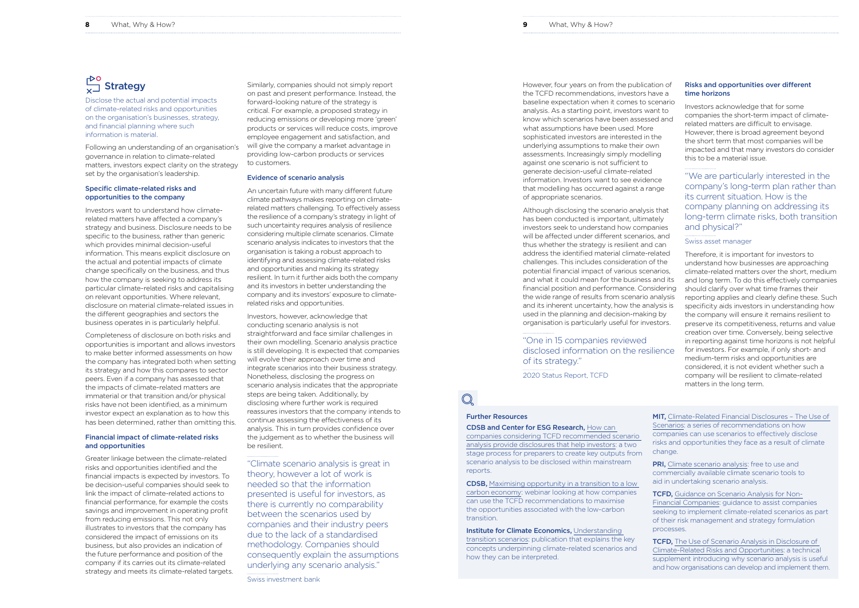# Risks and opportunities over different time horizons

Investors acknowledge that for some companies the short-term impact of climaterelated matters are difficult to envisage. However, there is broad agreement beyond the short term that most companies will be impacted and that many investors do consider this to be a material issue.

"We are particularly interested in the company's long-term plan rather than its current situation. How is the company planning on addressing its long-term climate risks, both transition and physical?"

Swiss asset manager

Therefore, it is important for investors to understand how businesses are approaching climate-related matters over the short, medium and long term. To do this effectively companies should clarify over what time frames their reporting applies and clearly define these. Such specificity aids investors in understanding how the company will ensure it remains resilient to preserve its competitiveness, returns and value creation over time. Conversely, being selective in reporting against time horizons is not helpful for investors. For example, if only short- and medium-term risks and opportunities are considered, it is not evident whether such a company will be resilient to climate-related matters in the long term.

However, four years on from the publication of the TCFD recommendations, investors have a baseline expectation when it comes to scenario analysis. As a starting point, investors want to know which scenarios have been assessed and what assumptions have been used. More sophisticated investors are interested in the underlying assumptions to make their own assessments. Increasingly simply modelling against one scenario is not sufficient to generate decision-useful climate-related information. Investors want to see evidence that modelling has occurred against a range of appropriate scenarios.

Although disclosing the scenario analysis that has been conducted is important, ultimately investors seek to understand how companies will be affected under different scenarios, and thus whether the strategy is resilient and can address the identified material climate-related challenges. This includes consideration of the potential financial impact of various scenarios, and what it could mean for the business and its financial position and performance. Considering the wide range of results from scenario analysis and its inherent uncertainty, how the analysis is used in the planning and decision-making by organisation is particularly useful for investors.

"One in 15 companies reviewed disclosed information on the resilience of its strategy."

2020 Status Report, TCFD

Similarly, companies should not simply report on past and present performance. Instead, the forward-looking nature of the strategy is critical. For example, a proposed strategy in reducing emissions or developing more 'green' products or services will reduce costs, improve employee engagement and satisfaction, and will give the company a market advantage in providing low-carbon products or services to customers.

### Evidence of scenario analysis

An uncertain future with many different future climate pathways makes reporting on climaterelated matters challenging. To effectively assess the resilience of a company's strategy in light of such uncertainty requires analysis of resilience considering multiple climate scenarios. Climate scenario analysis indicates to investors that the organisation is taking a robust approach to identifying and assessing climate-related risks and opportunities and making its strategy resilient. In turn it further aids both the company and its investors in better understanding the company and its investors' exposure to climaterelated risks and opportunities.

> **Institute for Climate Economics, Understanding** [transition scenarios](https://www.i4ce.org/wp-core/wp-content/uploads/2019/11/I4CE-ScenariosTransition-Rapport-complet-VA.pdf): publication that explains the key concepts underpinning climate-related scenarios and how they can be interpreted.

**PRI,** [Climate scenario analysis:](https://www.unpri.org/climate-change/climate-scenario-analysis/3606.article) free to use and commercially available climate scenario tools to aid in undertaking scenario analysis.

Investors, however, acknowledge that conducting scenario analysis is not straightforward and face similar challenges in their own modelling. Scenario analysis practice is still developing. It is expected that companies will evolve their approach over time and integrate scenarios into their business strategy. Nonetheless, disclosing the progress on scenario analysis indicates that the appropriate steps are being taken. Additionally, by disclosing where further work is required reassures investors that the company intends to continue assessing the effectiveness of its analysis. This in turn provides confidence over the judgement as to whether the business will be resilient.

> **TCFD.** [Guidance on Scenario Analysis for Non-](https://assets.bbhub.io/company/sites/60/2020/09/2020-TCFD_Guidance-Scenario-Analysis-Guidance.pdf)[Financial Companies:](https://assets.bbhub.io/company/sites/60/2020/09/2020-TCFD_Guidance-Scenario-Analysis-Guidance.pdf) guidance to assist companies seeking to implement climate-related scenarios as part of their risk management and strategy formulation processes.

> **TCFD,** The Use of Scenario Analysis in Disclosure of [Climate-Related Risks and Opportunities:](https://assets.bbhub.io/company/sites/60/2020/10/FINAL-TCFD-Technical-Supplement-062917.pdf) a technical supplement introducing why scenario analysis is useful and how organisations can develop and implement them.

"Climate scenario analysis is great in theory, however a lot of work is needed so that the information presented is useful for investors, as there is currently no comparability between the scenarios used by companies and their industry peers due to the lack of a standardised methodology. Companies should consequently explain the assumptions underlying any scenario analysis."

Swiss investment bank

Disclose the actual and potential impacts of climate-related risks and opportunities on the organisation's businesses, strategy, and financial planning where such information is material.

Following an understanding of an organisation's governance in relation to climate-related matters, investors expect clarity on the strategy set by the organisation's leadership.

### Specific climate-related risks and opportunities to the company

Investors want to understand how climaterelated matters have affected a company's strategy and business. Disclosure needs to be specific to the business, rather than generic which provides minimal decision-useful information. This means explicit disclosure on the actual and potential impacts of climate change specifically on the business, and thus how the company is seeking to address its particular climate-related risks and capitalising on relevant opportunities. Where relevant, disclosure on material climate-related issues in the different geographies and sectors the business operates in is particularly helpful.

Completeness of disclosure on both risks and opportunities is important and allows investors to make better informed assessments on how the company has integrated both when setting its strategy and how this compares to sector peers. Even if a company has assessed that the impacts of climate-related matters are immaterial or that transition and/or physical risks have not been identified, as a minimum investor expect an explanation as to how this has been determined, rather than omitting this.

### Financial impact of climate-related risks and opportunities

Greater linkage between the climate-related risks and opportunities identified and the financial impacts is expected by investors. To be decision-useful companies should seek to link the impact of climate-related actions to financial performance, for example the costs savings and improvement in operating profit from reducing emissions. This not only illustrates to investors that the company has considered the impact of emissions on its business, but also provides an indication of the future performance and position of the company if its carries out its climate-related strategy and meets its climate-related targets.

# Further Resources

CDSB and Center for ESG Research, [How can](https://www.cdsb.net/sites/default/files/how_to_make_tcfd_scenarios_useful_for_investors_a_short_guide.pdf)  [companies considering TCFD recommended scenario](https://www.cdsb.net/sites/default/files/how_to_make_tcfd_scenarios_useful_for_investors_a_short_guide.pdf)  [analysis provide disclosures that help investors:](https://www.cdsb.net/sites/default/files/how_to_make_tcfd_scenarios_useful_for_investors_a_short_guide.pdf) a two stage process for preparers to create key outputs from scenario analysis to be disclosed within mainstream reports.

CDSB, [Maximising opportunity in a transition to a low](https://www.cdsb.net/task-force/853/webinar-maximizing-opportunity-transition-low-carbon-economy)  [carbon economy:](https://www.cdsb.net/task-force/853/webinar-maximizing-opportunity-transition-low-carbon-economy) webinar looking at how companies can use the TCFD recommendations to maximise the opportunities associated with the low-carbon transition.

MIT, [Climate-Related Financial Disclosures – The Use of](https://climate.mit.edu/sites/default/files/2020-02/Climate%20Finance%20Disclosures%20-%20Scenarios.pdf)  [Scenarios:](https://climate.mit.edu/sites/default/files/2020-02/Climate%20Finance%20Disclosures%20-%20Scenarios.pdf) a series of recommendations on how companies can use scenarios to effectively disclose risks and opportunities they face as a result of climate change.

# $\sqrt{\frac{1}{x}}$ Strategy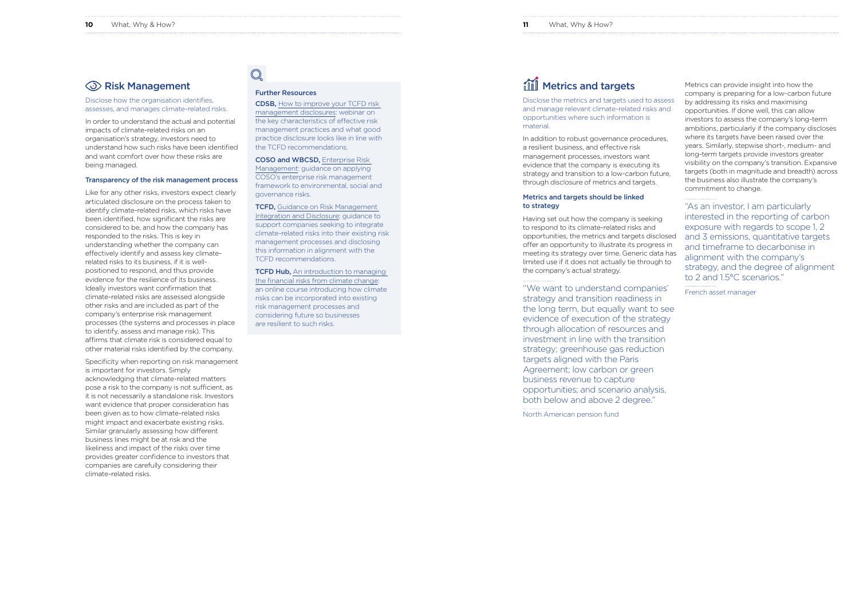Metrics can provide insight into how the company is preparing for a low-carbon future by addressing its risks and maximising opportunities. If done well, this can allow investors to assess the company's long-term ambitions, particularly if the company discloses where its targets have been raised over the years. Similarly, stepwise short-, medium- and long-term targets provide investors greater visibility on the company's transition. Expansive targets (both in magnitude and breadth) across the business also illustrate the company's commitment to change.

"As an investor, I am particularly interested in the reporting of carbon exposure with regards to scope 1, 2 and 3 emissions, quantitative targets and timeframe to decarbonise in alignment with the company's strategy, and the degree of alignment to 2 and 1.5°C scenarios."

French asset manager

Disclose the metrics and targets used to assess and manage relevant climate-related risks and opportunities where such information is material.

In addition to robust governance procedures, a resilient business, and effective risk management processes, investors want evidence that the company is executing its strategy and transition to a low-carbon future, through disclosure of metrics and targets.

### Metrics and targets should be linked to strategy

Having set out how the company is seeking to respond to its climate-related risks and opportunities, the metrics and targets disclosed offer an opportunity to illustrate its progress in meeting its strategy over time. Generic data has limited use if it does not actually tie through to the company's actual strategy.

**TCFD Hub,** An introduction to managing [the financial risks from climate change:](https://www.tcfdhub.org/online-courses/) an online course introducing how climate risks can be incorporated into existing risk management processes and considering future so businesses are resilient to such risks.

# all Metrics and targets

"We want to understand companies' strategy and transition readiness in the long term, but equally want to see evidence of execution of the strategy through allocation of resources and investment in line with the transition strategy; greenhouse gas reduction targets aligned with the Paris Agreement; low carbon or green business revenue to capture opportunities; and scenario analysis, both below and above 2 degree."

North American pension fund

# Further Resources

CDSB, [How to improve your TCFD risk](https://www.youtube.com/watch?v=VO4qIL1CWOY&list=PLIL2oib0KG3plkv4OV772nZg-kWa0T0Zq&index=8&t=295s)  [management disclosures](https://www.youtube.com/watch?v=VO4qIL1CWOY&list=PLIL2oib0KG3plkv4OV772nZg-kWa0T0Zq&index=8&t=295s): webinar on the key characteristics of effective risk management practices and what good practice disclosure looks like in line with the TCFD recommendations.

COSO and WBCSD, [Enterprise Risk](https://docs.wbcsd.org/2018/10/COSO_WBCSD_ESGERM_Guidance.pdf)  [Management:](https://docs.wbcsd.org/2018/10/COSO_WBCSD_ESGERM_Guidance.pdf) guidance on applying COSO's enterprise risk management framework to environmental, social and governance risks.

TCFD, [Guidance on Risk Management](https://assets.bbhub.io/company/sites/60/2020/09/2020-TCFD_Guidance-Risk-Management-Integration-and-Disclosure.pdf)  [Integration and Disclosure:](https://assets.bbhub.io/company/sites/60/2020/09/2020-TCFD_Guidance-Risk-Management-Integration-and-Disclosure.pdf) guidance to support companies seeking to integrate climate-related risks into their existing risk management processes and disclosing this information in alignment with the TCFD recommendations.

# Risk Management

Disclose how the organisation identifies, assesses, and manages climate-related risks.

In order to understand the actual and potential impacts of climate-related risks on an organisation's strategy, investors need to understand how such risks have been identified and want comfort over how these risks are being managed.

### Transparency of the risk management process

Like for any other risks, investors expect clearly articulated disclosure on the process taken to identify climate-related risks, which risks have been identified, how significant the risks are considered to be, and how the company has responded to the risks. This is key in understanding whether the company can effectively identify and assess key climaterelated risks to its business, if it is wellpositioned to respond, and thus provide evidence for the resilience of its business. Ideally investors want confirmation that climate-related risks are assessed alongside other risks and are included as part of the company's enterprise risk management processes (the systems and processes in place to identify, assess and manage risk). This affirms that climate risk is considered equal to other material risks identified by the company.

Specificity when reporting on risk management is important for investors. Simply acknowledging that climate-related matters pose a risk to the company is not sufficient, as it is not necessarily a standalone risk. Investors want evidence that proper consideration has been given as to how climate-related risks might impact and exacerbate existing risks. Similar granularly assessing how different business lines might be at risk and the likeliness and impact of the risks over time provides greater confidence to investors that companies are carefully considering their climate-related risks.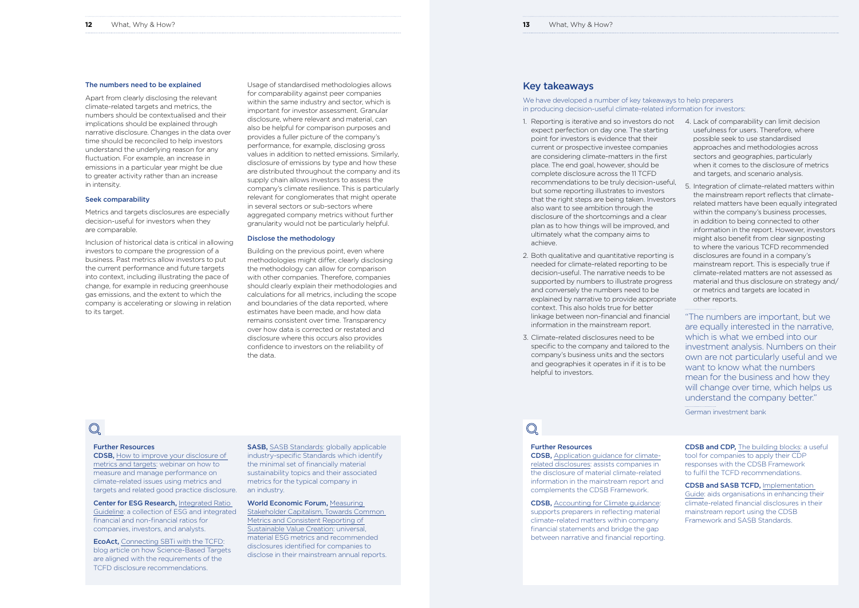## Further Resources

CDSB, [Application guidance for climate](https://www.cdsb.net/sites/default/files/climateguidancedoublepage.pdf)[related disclosures](https://www.cdsb.net/sites/default/files/climateguidancedoublepage.pdf): assists companies in the disclosure of material climate-related information in the mainstream report and complements the CDSB Framework.

CDSB, [Accounting for Climate guidance](https://www.cdsb.net/sites/default/files/cdsb_climateaccountingguidance_s_110121.pdf): supports preparers in reflecting material climate-related matters within company financial statements and bridge the gap between narrative and financial reporting.

We have developed a number of key takeaways to help preparers in producing decision-useful climate-related information for investors:

> CDSB and CDP, [The building blocks](https://www.cdsb.net/sites/default/files/the_building_blocks_guidance_web_version.pdf): a useful tool for companies to apply their CDP responses with the CDSB Framework to fulfil the TCFD recommendations.

CDSB and SASB TCFD, [Implementation](https://www.cdsb.net/sites/default/files/sasb_cdsb-tcfd-implementation-guide-a4-size-cdsb.pdf)  [Guide:](https://www.cdsb.net/sites/default/files/sasb_cdsb-tcfd-implementation-guide-a4-size-cdsb.pdf) aids organisations in enhancing their climate-related financial disclosures in their mainstream report using the CDSB Framework and SASB Standards.

# Key takeaways

- expect perfection on day one. The starting point for investors is evidence that their current or prospective investee companies are considering climate-matters in the first place. The end goal, however, should be complete disclosure across the 11 TCFD recommendations to be truly decision-useful, but some reporting illustrates to investors that the right steps are being taken. Investors also want to see ambition through the disclosure of the shortcomings and a clear plan as to how things will be improved, and ultimately what the company aims to achieve.
- 2. Both qualitative and quantitative reporting is needed for climate-related reporting to be decision-useful. The narrative needs to be supported by numbers to illustrate progress and conversely the numbers need to be explained by narrative to provide appropriate context. This also holds true for better linkage between non-financial and financial information in the mainstream report.
- 3. Climate-related disclosures need to be specific to the company and tailored to the company's business units and the sectors and geographies it operates in if it is to be helpful to investors.

# $\mathbb{Q}$

**Center for ESG Research, Integrated Ratio** [Guideline](https://www.researchgate.net/publication/322365015_Integrated_Ratio_Guideline_ESG_and_Combined_Financial_Non-financial_Ratios): a collection of ESG and integrated financial and non-financial ratios for companies, investors, and analysts.

- 1. Reporting is iterative and so investors do not 4. Lack of comparability can limit decision usefulness for users. Therefore, where possible seek to use standardised approaches and methodologies across sectors and geographies, particularly when it comes to the disclosure of metrics and targets, and scenario analysis.
	- 5. Integration of climate-related matters within the mainstream report reflects that climaterelated matters have been equally integrated within the company's business processes, in addition to being connected to other information in the report. However, investors might also benefit from clear signposting to where the various TCFD recommended disclosures are found in a company's mainstream report. This is especially true if climate-related matters are not assessed as material and thus disclosure on strategy and/ or metrics and targets are located in other reports.

World Economic Forum, Measuring [Stakeholder Capitalism, Towards Common](http://www3.weforum.org/docs/WEF_IBC_Measuring_Stakeholder_Capitalism_Report_2020.pdf)  [Metrics and Consistent Reporting of](http://www3.weforum.org/docs/WEF_IBC_Measuring_Stakeholder_Capitalism_Report_2020.pdf)  [Sustainable Value Creation:](http://www3.weforum.org/docs/WEF_IBC_Measuring_Stakeholder_Capitalism_Report_2020.pdf) universal, material ESG metrics and recommended disclosures identified for companies to disclose in their mainstream annual reports.

"The numbers are important, but we are equally interested in the narrative, which is what we embed into our investment analysis. Numbers on their own are not particularly useful and we want to know what the numbers mean for the business and how they will change over time, which helps us understand the company better."

German investment bank

### Further Resources

CDSB, [How to improve your disclosure of](https://www.youtube.com/watch?v=BK1VS5Ja0Lw&list=PLIL2oib0KG3plkv4OV772nZg-kWa0T0Zq&index=10&t=0s)  [metrics and targets](https://www.youtube.com/watch?v=BK1VS5Ja0Lw&list=PLIL2oib0KG3plkv4OV772nZg-kWa0T0Zq&index=10&t=0s): webinar on how to measure and manage performance on climate-related issues using metrics and targets and related good practice disclosure.

EcoAct, [Connecting SBTi with the TCFD](https://eco-act.com/taskforce-on-climate-related-financial-disclosures/connecting-the-sbti-with-the-tcfd/): blog article on how Science-Based Targets are aligned with the requirements of the TCFD disclosure recommendations.

SASB, [SASB Standards](https://www.sasb.org/standards/download/): globally applicable industry-specific Standards which identify the minimal set of financially material sustainability topics and their associated metrics for the typical company in an industry.

### The numbers need to be explained

Apart from clearly disclosing the relevant climate-related targets and metrics, the numbers should be contextualised and their implications should be explained through narrative disclosure. Changes in the data over time should be reconciled to help investors understand the underlying reason for any fluctuation. For example, an increase in emissions in a particular year might be due to greater activity rather than an increase in intensity.

### Seek comparability

Metrics and targets disclosures are especially decision-useful for investors when they are comparable.

Inclusion of historical data is critical in allowing investors to compare the progression of a business. Past metrics allow investors to put the current performance and future targets into context, including illustrating the pace of change, for example in reducing greenhouse gas emissions, and the extent to which the company is accelerating or slowing in relation to its target.

Usage of standardised methodologies allows for comparability against peer companies within the same industry and sector, which is important for investor assessment. Granular disclosure, where relevant and material, can also be helpful for comparison purposes and provides a fuller picture of the company's performance, for example, disclosing gross values in addition to netted emissions. Similarly, disclosure of emissions by type and how these are distributed throughout the company and its supply chain allows investors to assess the company's climate resilience. This is particularly relevant for conglomerates that might operate in several sectors or sub-sectors where aggregated company metrics without further granularity would not be particularly helpful.

### Disclose the methodology

Building on the previous point, even where methodologies might differ, clearly disclosing the methodology can allow for comparison with other companies. Therefore, companies should clearly explain their methodologies and calculations for all metrics, including the scope and boundaries of the data reported, where estimates have been made, and how data remains consistent over time. Transparency over how data is corrected or restated and disclosure where this occurs also provides confidence to investors on the reliability of the data.